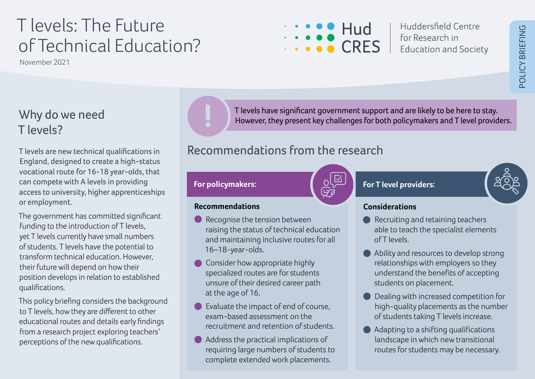# T levels: The Future of Technical Education?

November 2021

Huddersfield Centre  $Hud$  Huddersheld C<br>  $CRFS$  for Research in **Education and Society** 

### Why do we need T levels?

T levels are new technical qualifications in England, designed to create a high-status vocational route for 16-18 year-olds, that can compete with A levels in providing access to university, higher apprenticeships or employment.

The government has committed significant funding to the introduction of T levels, yet T levels currently have small numbers of students. T levels have the potential to transform technical education. However, their future will depend on how their position develops in relation to established qualifications.

This policy briefing considers the background to T levels, how they are different to other educational routes and details early findings from a research project exploring teachers' perceptions of the new qualifications.

T levels have significant government support and are likely to be here to stay. However, they present key challenges for both policymakers and T level providers.

### Recommendations from the research

#### **For policymakers:**

**Recommendations** 

16–18-year-olds.

at the age of 16.

Recognise the tension between

• Consider how appropriate highly specialized routes are for students unsure of their desired career path

• Evaluate the impact of end of course,

recruitment and retention of students.

• Address the practical implications of requiring large numbers of students to complete extended work placements.

exam-based assessment on the

raising the status of technical education and maintaining inclusive routes for all



#### **For T level providers:**

#### **Considerations**

- Recruiting and retaining teachers able to teach the specialist elements of T levels.
- Ability and resources to develop strong relationships with employers so they understand the benefits of accepting students on placement.
- Dealing with increased competition for high-quality placements as the number of students taking T levels increase.
- Adapting to a shifting qualifications landscape in which new transitional routes for students may be necessary.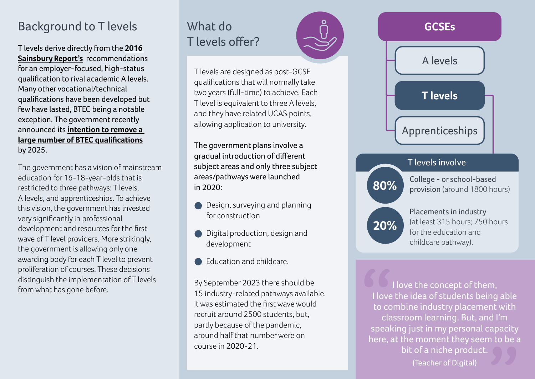#### Background to T levels

T levels derive directly from the **[2016](https://assets.publishing.service.gov.uk/government/uploads/system/uploads/attachment_data/file/536046/Report_of_the_Independent_Panel_on_Technical_Education.pdf)  [Sainsbury Report's](https://assets.publishing.service.gov.uk/government/uploads/system/uploads/attachment_data/file/536046/Report_of_the_Independent_Panel_on_Technical_Education.pdf)** recommendations for an employer-focused, high-status qualification to rival academic A levels. Many other vocational/technical qualifications have been developed but few have lasted, BTEC being a notable exception. The government recently announced its **[intention to remove a](https://commonslibrary.parliament.uk/level-3-qualifications-reform-whats-happening-to-btecs/)  [large number of BTEC qualifications](https://commonslibrary.parliament.uk/level-3-qualifications-reform-whats-happening-to-btecs/)** by 2025.

The government has a vision of mainstream education for 16-18-year-olds that is restricted to three pathways: T levels, A levels, and apprenticeships. To achieve this vision, the government has invested very significantly in professional development and resources for the first wave of T level providers. More strikingly, the government is allowing only one awarding body for each T level to prevent proliferation of courses. These decisions distinguish the implementation of T levels from what has gone before.

## What do T levels offer?

T levels are designed as post-GCSE qualifications that will normally take two years (full-time) to achieve. Each T level is equivalent to three A levels, and they have related UCAS points, allowing application to university.

The government plans involve a gradual introduction of different subject areas and only three subject areas/pathways were launched in 2020:

- Design, surveying and planning for construction
- Digital production, design and development
- Education and childcare.

By September 2023 there should be 15 industry-related pathways available. It was estimated the first wave would recruit around 2500 students, but, partly because of the pandemic, around half that number were on course in 2020-21.



I love the concept of them, I love the idea of students being able to combine industry placement with classroom learning. But, and I'm speaking just in my personal capacity here, at the moment they seem to be a bit of a niche product. (Teacher of Digital)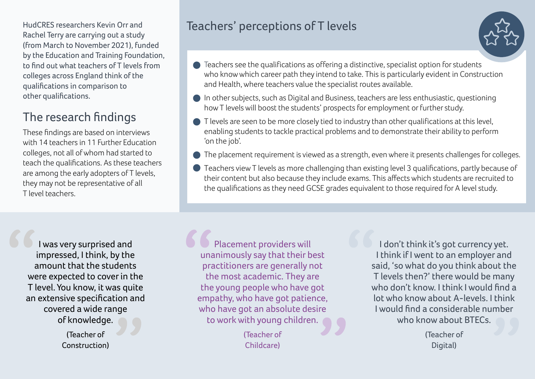HudCRES researchers Kevin Orr and Rachel Terry are carrying out a study (from March to November 2021), funded by the Education and Training Foundation, to find out what teachers of T levels from colleges across England think of the qualifications in comparison to other qualifications.

## The research findings

These findings are based on interviews with 14 teachers in 11 Further Education colleges, not all of whom had started to teach the qualifications. As these teachers are among the early adopters of T levels, they may not be representative of all T level teachers.

#### Teachers' perceptions of T levels



- Teachers see the qualifications as offering a distinctive, specialist option for students who know which career path they intend to take. This is particularly evident in Construction and Health, where teachers value the specialist routes available.
- In other subjects, such as Digital and Business, teachers are less enthusiastic, questioning how T levels will boost the students' prospects for employment or further study.
- $\bullet$  T levels are seen to be more closely tied to industry than other qualifications at this level, enabling students to tackle practical problems and to demonstrate their ability to perform 'on the job'.
- The placement requirement is viewed as a strength, even where it presents challenges for colleges.
- Teachers view T levels as more challenging than existing level 3 qualifications, partly because of their content but also because they include exams. This affects which students are recruited to the qualifications as they need GCSE grades equivalent to those required for A level study.

I was very surprised and impressed, I think, by the amount that the students were expected to cover in the T level. You know, it was quite an extensive specification and covered a wide range of knowledge.

> (Teacher of Construction)

Placement providers will unanimously say that their best practitioners are generally not the most academic. They are the young people who have got empathy, who have got patience, who have got an absolute desire to work with young children.

> (Teacher of Childcare)

I don't think it's got currency yet. I think if I went to an employer and said, 'so what do you think about the T levels then?' there would be many who don't know. I think I would find a lot who know about A-levels. I think I would find a considerable number who know about BTECs.

> (Teacher of Digital)